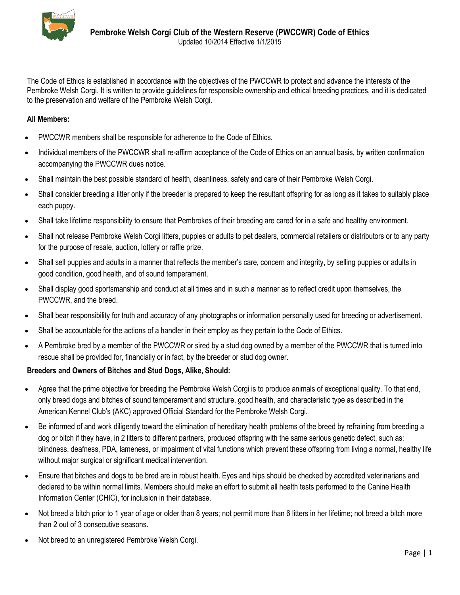

The Code of Ethics is established in accordance with the objectives of the PWCCWR to protect and advance the interests of the Pembroke Welsh Corgi. It is written to provide guidelines for responsible ownership and ethical breeding practices, and it is dedicated to the preservation and welfare of the Pembroke Welsh Corgi.

#### **All Members:**

- PWCCWR members shall be responsible for adherence to the Code of Ethics.
- Individual members of the PWCCWR shall re-affirm acceptance of the Code of Ethics on an annual basis, by written confirmation accompanying the PWCCWR dues notice.
- Shall maintain the best possible standard of health, cleanliness, safety and care of their Pembroke Welsh Corgi.
- Shall consider breeding a litter only if the breeder is prepared to keep the resultant offspring for as long as it takes to suitably place each puppy.
- Shall take lifetime responsibility to ensure that Pembrokes of their breeding are cared for in a safe and healthy environment.
- Shall not release Pembroke Welsh Corgi litters, puppies or adults to pet dealers, commercial retailers or distributors or to any party for the purpose of resale, auction, lottery or raffle prize.
- Shall sell puppies and adults in a manner that reflects the member's care, concern and integrity, by selling puppies or adults in good condition, good health, and of sound temperament.
- Shall display good sportsmanship and conduct at all times and in such a manner as to reflect credit upon themselves, the PWCCWR, and the breed.
- Shall bear responsibility for truth and accuracy of any photographs or information personally used for breeding or advertisement.
- Shall be accountable for the actions of a handler in their employ as they pertain to the Code of Ethics.
- A Pembroke bred by a member of the PWCCWR or sired by a stud dog owned by a member of the PWCCWR that is turned into rescue shall be provided for, financially or in fact, by the breeder or stud dog owner.

#### **Breeders and Owners of Bitches and Stud Dogs, Alike, Should:**

- Agree that the prime objective for breeding the Pembroke Welsh Corgi is to produce animals of exceptional quality. To that end, only breed dogs and bitches of sound temperament and structure, good health, and characteristic type as described in the American Kennel Club's (AKC) approved Official Standard for the Pembroke Welsh Corgi.
- Be informed of and work diligently toward the elimination of hereditary health problems of the breed by refraining from breeding a dog or bitch if they have, in 2 litters to different partners, produced offspring with the same serious genetic defect, such as: blindness, deafness, PDA, lameness, or impairment of vital functions which prevent these offspring from living a normal, healthy life without major surgical or significant medical intervention.
- Ensure that bitches and dogs to be bred are in robust health. Eyes and hips should be checked by accredited veterinarians and declared to be within normal limits. Members should make an effort to submit all health tests performed to the Canine Health Information Center (CHIC), for inclusion in their database.
- Not breed a bitch prior to 1 year of age or older than 8 years; not permit more than 6 litters in her lifetime; not breed a bitch more than 2 out of 3 consecutive seasons.
- Not breed to an unregistered Pembroke Welsh Corgi.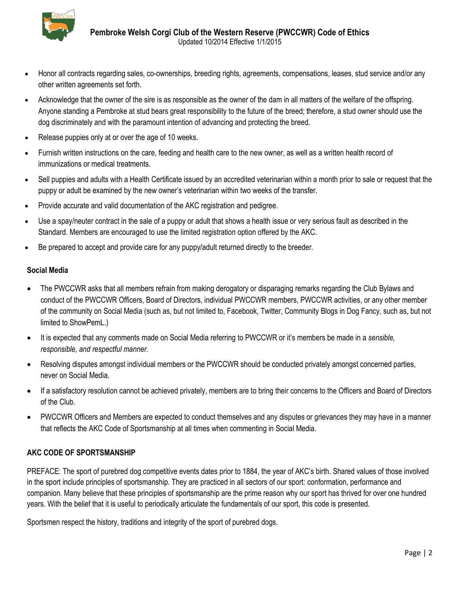

- Honor all contracts regarding sales, co-ownerships, breeding rights, agreements, compensations, leases, stud service and/or any other written agreements set forth.
- Acknowledge that the owner of the sire is as responsible as the owner of the dam in all matters of the welfare of the offspring. Anyone standing a Pembroke at stud bears great responsibility to the future of the breed; therefore, a stud owner should use the dog discriminately and with the paramount intention of advancing and protecting the breed.
- Release puppies only at or over the age of 10 weeks.
- Furnish written instructions on the care, feeding and health care to the new owner, as well as a written health record of immunizations or medical treatments.
- Sell puppies and adults with a Health Certificate issued by an accredited veterinarian within a month prior to sale or request that the puppy or adult be examined by the new owner's veterinarian within two weeks of the transfer.
- Provide accurate and valid documentation of the AKC registration and pedigree.
- Use a spay/neuter contract in the sale of a puppy or adult that shows a health issue or very serious fault as described in the Standard. Members are encouraged to use the limited registration option offered by the AKC.
- Be prepared to accept and provide care for any puppy/adult returned directly to the breeder.

## **Social Media**

- The PWCCWR asks that all members refrain from making derogatory or disparaging remarks regarding the Club Bylaws and conduct of the PWCCWR Officers, Board of Directors, individual PWCCWR members, PWCCWR activities, or any other member of the community on Social Media (such as, but not limited to, Facebook, Twitter, Community Blogs in Dog Fancy, such as, but not limited to ShowPemL.)
- It is expected that any comments made on Social Media referring to PWCCWR or it's members be made in a *sensible, responsible, and respectful manner.*
- Resolving disputes amongst individual members or the PWCCWR should be conducted privately amongst concerned parties, never on Social Media.
- If a satisfactory resolution cannot be achieved privately, members are to bring their concerns to the Officers and Board of Directors of the Club.
- PWCCWR Officers and Members are expected to conduct themselves and any disputes or grievances they may have in a manner that reflects the AKC Code of Sportsmanship at all times when commenting in Social Media.

# **AKC CODE OF SPORTSMANSHIP**

PREFACE: The sport of purebred dog competitive events dates prior to 1884, the year of AKC's birth. Shared values of those involved in the sport include principles of sportsmanship. They are practiced in all sectors of our sport: conformation, performance and companion. Many believe that these principles of sportsmanship are the prime reason why our sport has thrived for over one hundred years. With the belief that it is useful to periodically articulate the fundamentals of our sport, this code is presented.

Sportsmen respect the history, traditions and integrity of the sport of purebred dogs.